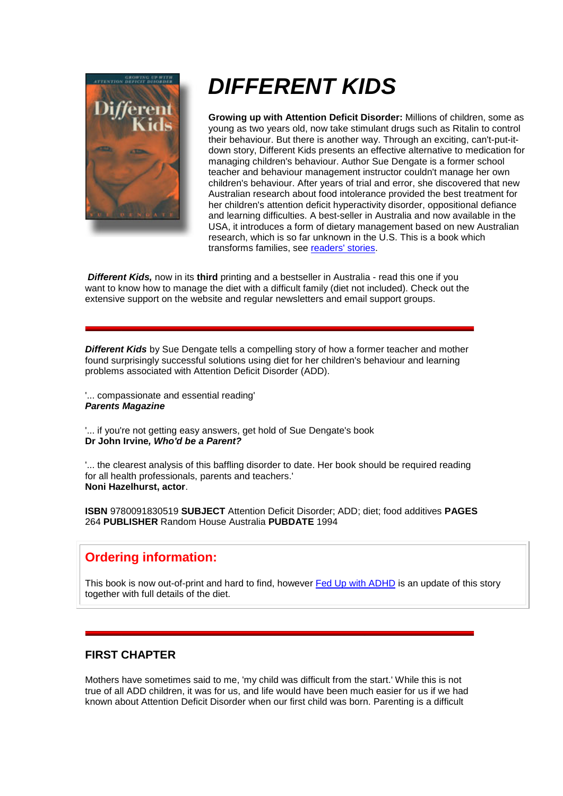

## *DIFFERENT KIDS*

**Growing up with Attention Deficit Disorder:** Millions of children, some as young as two years old, now take stimulant drugs such as Ritalin to control their behaviour. But there is another way. Through an exciting, can't-put-itdown story, Different Kids presents an effective alternative to medication for managing children's behaviour. Author Sue Dengate is a former school teacher and behaviour management instructor couldn't manage her own children's behaviour. After years of trial and error, she discovered that new Australian research about food intolerance provided the best treatment for her children's attention deficit hyperactivity disorder, oppositional defiance and learning difficulties. A best-seller in Australia and now available in the USA, it introduces a form of dietary management based on new Australian research, which is so far unknown in the U.S. This is a book which transforms families, see readers' stories.

*Different Kids,* now in its **third** printing and a bestseller in Australia - read this one if you want to know how to manage the diet with a difficult family (diet not included). Check out the extensive support on the website and regular newsletters and email support groups.

**Different Kids** by Sue Dengate tells a compelling story of how a former teacher and mother found surprisingly successful solutions using diet for her children's behaviour and learning problems associated with Attention Deficit Disorder (ADD).

'... compassionate and essential reading' *Parents Magazine*

'... if you're not getting easy answers, get hold of Sue Dengate's book **Dr John Irvine***, Who'd be a Parent?*

'... the clearest analysis of this baffling disorder to date. Her book should be required reading for all health professionals, parents and teachers.' **Noni Hazelhurst, actor**.

**ISBN** 9780091830519 **SUBJECT** Attention Deficit Disorder; ADD; diet; food additives **PAGES** 264 **PUBLISHER** Random House Australia **PUBDATE** 1994

## **Ordering information:**

This book is now out-of-print and hard to find, however Fed Up with ADHD is an update of this story together with full details of the diet.

## **FIRST CHAPTER**

Mothers have sometimes said to me, 'my child was difficult from the start.' While this is not true of all ADD children, it was for us, and life would have been much easier for us if we had known about Attention Deficit Disorder when our first child was born. Parenting is a difficult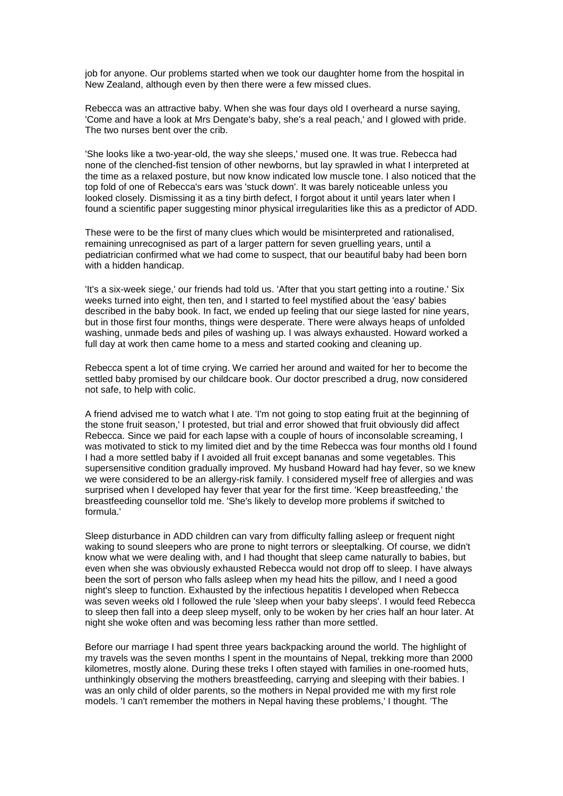job for anyone. Our problems started when we took our daughter home from the hospital in New Zealand, although even by then there were a few missed clues.

Rebecca was an attractive baby. When she was four days old I overheard a nurse saying, 'Come and have a look at Mrs Dengate's baby, she's a real peach,' and I glowed with pride. The two nurses bent over the crib.

'She looks like a two-year-old, the way she sleeps,' mused one. It was true. Rebecca had none of the clenched-fist tension of other newborns, but lay sprawled in what I interpreted at the time as a relaxed posture, but now know indicated low muscle tone. I also noticed that the top fold of one of Rebecca's ears was 'stuck down'. It was barely noticeable unless you looked closely. Dismissing it as a tiny birth defect, I forgot about it until years later when I found a scientific paper suggesting minor physical irregularities like this as a predictor of ADD.

These were to be the first of many clues which would be misinterpreted and rationalised, remaining unrecognised as part of a larger pattern for seven gruelling years, until a pediatrician confirmed what we had come to suspect, that our beautiful baby had been born with a hidden handicap.

'It's a six-week siege,' our friends had told us. 'After that you start getting into a routine.' Six weeks turned into eight, then ten, and I started to feel mystified about the 'easy' babies described in the baby book. In fact, we ended up feeling that our siege lasted for nine years, but in those first four months, things were desperate. There were always heaps of unfolded washing, unmade beds and piles of washing up. I was always exhausted. Howard worked a full day at work then came home to a mess and started cooking and cleaning up.

Rebecca spent a lot of time crying. We carried her around and waited for her to become the settled baby promised by our childcare book. Our doctor prescribed a drug, now considered not safe, to help with colic.

A friend advised me to watch what I ate. 'I'm not going to stop eating fruit at the beginning of the stone fruit season,' I protested, but trial and error showed that fruit obviously did affect Rebecca. Since we paid for each lapse with a couple of hours of inconsolable screaming, I was motivated to stick to my limited diet and by the time Rebecca was four months old I found I had a more settled baby if I avoided all fruit except bananas and some vegetables. This supersensitive condition gradually improved. My husband Howard had hay fever, so we knew we were considered to be an allergy-risk family. I considered myself free of allergies and was surprised when I developed hay fever that year for the first time. 'Keep breastfeeding,' the breastfeeding counsellor told me. 'She's likely to develop more problems if switched to formula.'

Sleep disturbance in ADD children can vary from difficulty falling asleep or frequent night waking to sound sleepers who are prone to night terrors or sleeptalking. Of course, we didn't know what we were dealing with, and I had thought that sleep came naturally to babies, but even when she was obviously exhausted Rebecca would not drop off to sleep. I have always been the sort of person who falls asleep when my head hits the pillow, and I need a good night's sleep to function. Exhausted by the infectious hepatitis I developed when Rebecca was seven weeks old I followed the rule 'sleep when your baby sleeps'. I would feed Rebecca to sleep then fall into a deep sleep myself, only to be woken by her cries half an hour later. At night she woke often and was becoming less rather than more settled.

Before our marriage I had spent three years backpacking around the world. The highlight of my travels was the seven months I spent in the mountains of Nepal, trekking more than 2000 kilometres, mostly alone. During these treks I often stayed with families in one-roomed huts, unthinkingly observing the mothers breastfeeding, carrying and sleeping with their babies. I was an only child of older parents, so the mothers in Nepal provided me with my first role models. 'I can't remember the mothers in Nepal having these problems,' I thought. 'The